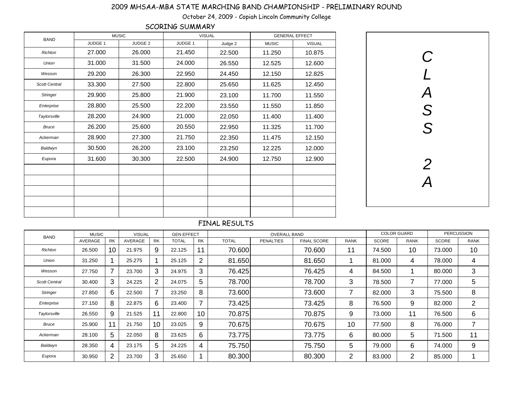| <b>BAND</b>          | <b>MUSIC</b> |                |         | <b>VISUAL</b> |              | <b>GENERAL EFFECT</b> |
|----------------------|--------------|----------------|---------|---------------|--------------|-----------------------|
|                      | JUDGE 1      | <b>JUDGE 2</b> | JUDGE 1 | Judge 2       | <b>MUSIC</b> | <b>VISUAL</b>         |
| <b>Richton</b>       | 27.000       | 26.000         | 21.450  | 22.500        | 11.250       | 10.875                |
| <b>Union</b>         | 31.000       | 31.500         | 24.000  | 26.550        | 12.525       | 12.600                |
| Wesson               | 29.200       | 26.300         | 22.950  | 24.450        | 12.150       | 12.825                |
| <b>Scott Central</b> | 33.300       | 27.500         | 22.800  | 25.650        | 11.625       | 12.450                |
| <b>Stringer</b>      | 29.900       | 25.800         | 21.900  | 23.100        | 11.700       | 11.550                |
| Enterprise           | 28.800       | 25.500         | 22.200  | 23.550        | 11.550       | 11.850                |
| Taylorsville         | 28.200       | 24.900         | 21.000  | 22.050        | 11.400       | 11.400                |
| <b>Bruce</b>         | 26.200       | 25.600         | 20.550  | 22.950        | 11.325       | 11.700                |
| Ackerman             | 28.900       | 27.300         | 21.750  | 22.350        | 11.475       | 12.150                |
| Baldwyn              | 30.500       | 26.200         | 23.100  | 23.250        | 12.225       | 12.000                |
| Eupora               | 31.600       | 30.300         | 22.500  | 24.900        | 12.750       | 12.900                |
|                      |              |                |         |               |              |                       |
|                      |              |                |         |               |              |                       |
|                      |              |                |         |               |              |                       |
|                      |              |                |         |               |              |                       |
|                      |              |                |         |               |              |                       |

| <b>BAND</b>          | <b>MUSIC</b> |                          | <b>VISUAL</b> |                          | <b>GEN EFFECT</b> |                |              | <b>OVERALL BAND</b> |                    |             | <b>COLOR GUARD</b> |             |              | <b>PERCUSSION</b> |
|----------------------|--------------|--------------------------|---------------|--------------------------|-------------------|----------------|--------------|---------------------|--------------------|-------------|--------------------|-------------|--------------|-------------------|
|                      | AVERAGE      | <b>RK</b>                | AVERAGE       | <b>RK</b>                | <b>TOTAL</b>      | <b>RK</b>      | <b>TOTAL</b> | <b>PENALTIES</b>    | <b>FINAL SCORE</b> | <b>RANK</b> | <b>SCORE</b>       | <b>RANK</b> | <b>SCORE</b> | <b>RANK</b>       |
| Richton              | 26.500       | 10                       | 21.975        | 9                        | 22.125            | 11             | 70.600       |                     | 70,600             | 11          | 74.500             | 10          | 73.000       | 10                |
| Union                | 31.250       |                          | 25.275        |                          | 25.125            | 2              | 81.650       |                     | 81.650             |             | 81.000             | 4           | 78.000       | 4                 |
| Wesson               | 27.750       | $\overline{\phantom{a}}$ | 23.700        | 3                        | 24.975            | 3              | 76.425       |                     | 76.425             | 4           | 84.500             |             | 80.000       | 3                 |
| <b>Scott Central</b> | 30.400       | 3                        | 24.225        | 2                        | 24.075            | 5              | 78.700       |                     | 78.700             | 3           | 78.500             | 7           | 77.000       | 5                 |
| <b>Stringer</b>      | 27.850       | 6                        | 22.500        | $\overline{\phantom{a}}$ | 23.250            | 8              | 73.600       |                     | 73.600             |             | 82.000             | 3           | 75.500       | 8                 |
| Enterprise           | 27.150       | 8                        | 22.875        | 6                        | 23.400            | $\overline{7}$ | 73.425       |                     | 73.425             | 8           | 76.500             | 9           | 82.000       | $\overline{2}$    |
| Taylorsville         | 26.550       | 9                        | 21.525        | 11                       | 22.800            | 10             | 70.875       |                     | 70.875             | 9           | 73.000             | 11          | 76.500       | 6                 |
| <b>Bruce</b>         | 25.900       |                          | 21.750        | 10                       | 23.025            | 9              | 70.675       |                     | 70.675             | 10          | 77.500             | 8           | 76.000       |                   |
| Ackerman             | 28.100       | 5                        | 22.050        | 8                        | 23.625            | 6              | 73.775       |                     | 73.775             | 6           | 80.000             | 5           | 71.500       | 11                |
| Baldwyn              | 28.350       | 4                        | 23.175        | 5                        | 24.225            | $\overline{4}$ | 75.750       |                     | 75.750             | 5           | 79.000             | 6           | 74.000       | 9                 |
| Eupora               | 30.950       | $\overline{2}$           | 23.700        | 3                        | 25.650            |                | 80.300       |                     | 80.300             | 2           | 83.000             | 2           | 85.000       |                   |

# FINAL RESULTS

# 2009 MHSAA-MBA STATE MARCHING BAND CHAMPIONSHIP - PRELIMINARY ROUND

October 24, 2009 - Copiah Lincoln Community College

| $\boldsymbol{C}$<br>$\overline{L}$<br>$\overline{A}$<br>S<br>S |  |
|----------------------------------------------------------------|--|
| $\overline{2}$<br>$\overline{\mathsf{A}}$                      |  |

# SCORING SUMMARY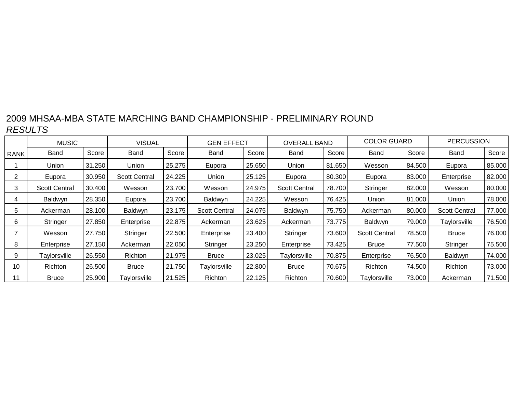|      | <b>MUSIC</b>         |        | <b>VISUAL</b>        |        | <b>GEN EFFECT</b>    |        | <b>OVERALL BAND</b>  |        | <b>COLOR GUARD</b>   |        | <b>PERCUSSION</b>    |        |
|------|----------------------|--------|----------------------|--------|----------------------|--------|----------------------|--------|----------------------|--------|----------------------|--------|
| RANK | Band                 | Score  | Band                 | Score  | Band                 | Score  | Band                 | Score  | Band                 | Score  | Band                 | Score  |
|      | Union                | 31.250 | Union                | 25.275 | Eupora               | 25.650 | Union                | 81.650 | Wesson               | 84.500 | Eupora               | 85.000 |
| 2    | Eupora               | 30.950 | <b>Scott Central</b> | 24.225 | Union                | 25.125 | Eupora               | 80.300 | Eupora               | 83.000 | Enterprise           | 82.000 |
| 3    | <b>Scott Central</b> | 30.400 | Wesson               | 23.700 | Wesson               | 24.975 | <b>Scott Central</b> | 78.700 | Stringer             | 82.000 | Wesson               | 80.000 |
| 4    | Baldwyn              | 28.350 | Eupora               | 23.700 | Baldwyn              | 24.225 | Wesson               | 76.425 | Union                | 81.000 | Union                | 78.000 |
| 5    | Ackerman             | 28.100 | Baldwyn              | 23.175 | <b>Scott Central</b> | 24.075 | Baldwyn              | 75.750 | Ackerman             | 80.000 | <b>Scott Central</b> | 77.000 |
| 6    | Stringer             | 27.850 | Enterprise           | 22.875 | Ackerman             | 23.625 | Ackerman             | 73.775 | Baldwyn              | 79.000 | Taylorsville         | 76.500 |
|      | Wesson               | 27.750 | Stringer             | 22.500 | Enterprise           | 23.400 | Stringer             | 73.600 | <b>Scott Central</b> | 78.500 | <b>Bruce</b>         | 76.000 |
| 8    | Enterprise           | 27.150 | Ackerman             | 22.050 | Stringer             | 23.250 | Enterprise           | 73.425 | <b>Bruce</b>         | 77.500 | Stringer             | 75.500 |
| 9    | Taylorsville         | 26.550 | <b>Richton</b>       | 21.975 | <b>Bruce</b>         | 23.025 | Taylorsville         | 70.875 | Enterprise           | 76.500 | Baldwyn              | 74.000 |
| 10   | <b>Richton</b>       | 26.500 | <b>Bruce</b>         | 21.750 | Taylorsville         | 22.800 | <b>Bruce</b>         | 70.675 | Richton              | 74.500 | Richton              | 73.000 |
| 11   | <b>Bruce</b>         | 25.900 | Taylorsville         | 21.525 | Richton              | 22.125 | Richton              | 70.600 | Taylorsville         | 73.000 | Ackerman             | 71.500 |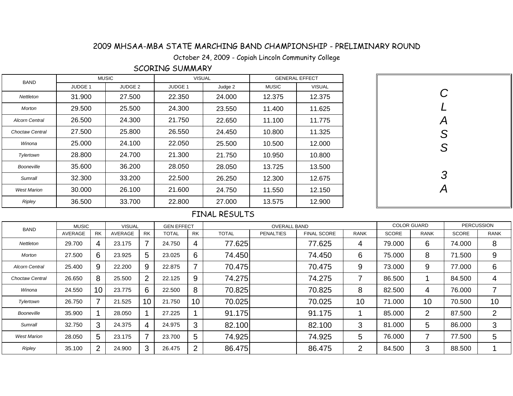October 24, 2009 - Copiah Lincoln Community College

### SCORING SUMMARY

| <b>BAND</b>            | <b>MUSIC</b>   |                | <b>VISUAL</b>  |         | <b>GENERAL EFFECT</b> |               |  |  |
|------------------------|----------------|----------------|----------------|---------|-----------------------|---------------|--|--|
|                        | <b>JUDGE 1</b> | <b>JUDGE 2</b> | <b>JUDGE 1</b> | Judge 2 | <b>MUSIC</b>          | <b>VISUAL</b> |  |  |
| <b>Nettleton</b>       | 31.900         | 27,500         | 22,350         | 24.000  | 12.375                | 12.375        |  |  |
| Morton                 | 29,500         | 25.500         | 24.300         | 23.550  | 11.400                | 11.625        |  |  |
| <b>Alcorn Central</b>  | 26,500         | 24.300         | 21.750         | 22.650  | 11.100                | 11.775        |  |  |
| <b>Choctaw Central</b> | 27,500         | 25.800         | 26.550         | 24.450  | 10.800                | 11.325        |  |  |
| Winona                 | 25,000         | 24.100         | 22.050         | 25.500  | 10.500                | 12.000        |  |  |
| Tylertown              | 28,800         | 24.700         | 21.300         | 21.750  | 10.950                | 10.800        |  |  |
| Booneville             | 35,600         | 36.200         | 28.050         | 28.050  | 13.725                | 13.500        |  |  |
| Sumrall                | 32,300         | 33.200         | 22,500         | 26.250  | 12.300                | 12.675        |  |  |
| <b>West Marion</b>     | 30,000         | 26.100         | 21.600         | 24.750  | 11.550                | 12.150        |  |  |
| <b>Ripley</b>          | 36.500         | 33.700         | 22.800         | 27.000  | 13.575                | 12.900        |  |  |

| CLASS         |
|---------------|
|               |
|               |
|               |
|               |
| $\frac{3}{A}$ |
|               |

| <b>BAND</b>           | <b>MUSIC</b> |                | <b>VISUAL</b> |           | <b>GEN EFFECT</b> |                |              | <b>OVERALL BAND</b> |                    |             | <b>COLOR GUARD</b> |             |              | <b>PERCUSSION</b>        |
|-----------------------|--------------|----------------|---------------|-----------|-------------------|----------------|--------------|---------------------|--------------------|-------------|--------------------|-------------|--------------|--------------------------|
|                       | AVERAGE      | <b>RK</b>      | AVERAGE       | <b>RK</b> | <b>TOTAL</b>      | <b>RK</b>      | <b>TOTAL</b> | <b>PENALTIES</b>    | <b>FINAL SCORE</b> | <b>RANK</b> | <b>SCORE</b>       | <b>RANK</b> | <b>SCORE</b> | <b>RANK</b>              |
| Nettleton             | 29.700       | 4              | 23.175        |           | 24.750            | 4              | 77.625       |                     | 77.625             | 4           | 79.000             | 6           | 74.000       | 8                        |
| Morton                | 27.500       | 6              | 23.925        | 5         | 23.025            | 6              | 74.450       |                     | 74.450             | 6           | 75.000             | 8           | 71.500       | 9                        |
| <b>Alcorn Central</b> | 25.400       | 9              | 22.200        | 9         | 22.875            | $\overline{7}$ | 70.475       |                     | 70.475             | 9           | 73.000             | 9           | 77.000       | 6                        |
| Choctaw Central       | 26.650       | 8              | 25.500        | 2         | 22.125            | 9              | 74.275       |                     | 74.275             | 7           | 86.500             |             | 84.500       | $\overline{4}$           |
| Winona                | 24.550       | 10             | 23.775        | 6         | 22.500            | 8              | 70.825       |                     | 70.825             | 8           | 82.500             | 4           | 76.000       | $\overline{\phantom{a}}$ |
| Tylertown             | 26.750       |                | 21.525        | 10        | 21.750            | 10             | 70.025       |                     | 70.025             | 10          | 71.000             | 10          | 70.500       | 10                       |
| Booneville            | 35.900       |                | 28.050        |           | 27.225            |                | 91.175       |                     | 91.175             |             | 85.000             | 2           | 87.500       | 2                        |
| Sumrall               | 32.750       | 3 <sup>1</sup> | 24.375        | 4         | 24.975            | 3              | 82.100       |                     | 82.100             | 3           | 81.000             | 5           | 86.000       | 3                        |
| <b>West Marion</b>    | 28.050       | 5              | 23.175        |           | 23.700            | $5\phantom{1}$ | 74.925       |                     | 74.925             | 5           | 76.000             |             | 77.500       | 5                        |
| <b>Ripley</b>         | 35.100       | 2              | 24.900        | 3         | 26.475            | 2              | 86.475       |                     | 86.475             | 2           | 84.500             | 3           | 88.500       |                          |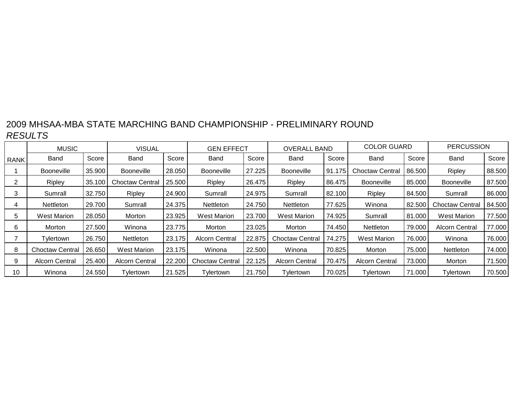|             | <b>MUSIC</b>           |        | <b>VISUAL</b>          |        | <b>GEN EFFECT</b>      |        | <b>OVERALL BAND</b>    |        | <b>COLOR GUARD</b>    |        | <b>PERCUSSION</b>      |        |
|-------------|------------------------|--------|------------------------|--------|------------------------|--------|------------------------|--------|-----------------------|--------|------------------------|--------|
| <b>RANK</b> | Band                   | Score  | Band                   | Score  | Band                   | Score  | Band                   | Score  | Band                  | Score  | Band                   | Score  |
|             | <b>Booneville</b>      | 35.900 | <b>Booneville</b>      | 28.050 | <b>Booneville</b>      | 27.225 | <b>Booneville</b>      | 91.175 | Choctaw Central       | 86.500 | Ripley                 | 88.500 |
| 2           | Ripley                 | 35.100 | <b>Choctaw Central</b> | 25.500 | Ripley                 | 26.475 | Ripley                 | 86.475 | Booneville            | 85.000 | <b>Booneville</b>      | 87.500 |
| 3           | Sumrall                | 32.750 | <b>Ripley</b>          | 24.900 | Sumrall                | 24.975 | Sumrall                | 82.100 | Ripley                | 84.500 | Sumrall                | 86.000 |
| 4           | <b>Nettleton</b>       | 29.700 | Sumrall                | 24.375 | <b>Nettleton</b>       | 24.750 | Nettleton              | 77.625 | Winona                | 82.500 | <b>Choctaw Central</b> | 84.500 |
| 5           | <b>West Marion</b>     | 28.050 | Morton                 | 23.925 | <b>West Marion</b>     | 23.700 | <b>West Marion</b>     | 74.925 | Sumrall               | 81.000 | <b>West Marion</b>     | 77.500 |
| 6           | Morton                 | 27.500 | Winona                 | 23.775 | Morton                 | 23.025 | Morton                 | 74.450 | <b>Nettleton</b>      | 79.000 | <b>Alcorn Central</b>  | 77.000 |
|             | Tylertown              | 26.750 | Nettleton              | 23.175 | <b>Alcorn Central</b>  | 22.875 | <b>Choctaw Central</b> | 74.275 | <b>West Marion</b>    | 76.000 | Winona                 | 76.000 |
| 8           | <b>Choctaw Central</b> | 26.650 | <b>West Marion</b>     | 23.175 | Winona                 | 22.500 | Winona                 | 70.825 | Morton                | 75.000 | <b>Nettleton</b>       | 74.000 |
| 9           | <b>Alcorn Central</b>  | 25.400 | <b>Alcorn Central</b>  | 22.200 | <b>Choctaw Central</b> | 22.125 | <b>Alcorn Central</b>  | 70.475 | <b>Alcorn Central</b> | 73.000 | Morton                 | 71.500 |
| 10          | Winona                 | 24.550 | Tvlertown              | 21.525 | Tylertown              | 21.750 | Tvlertown              | 70.025 | Tylertown             | 71.000 | Tylertown              | 70.500 |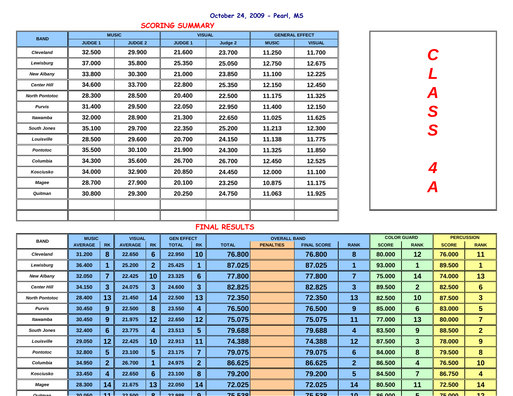| <b>BAND</b>           |               | <b>MUSIC</b>   |                | <b>VISUAL</b> |              | <b>GENERAL EFFECT</b> |
|-----------------------|---------------|----------------|----------------|---------------|--------------|-----------------------|
|                       | <b>JUDGE1</b> | <b>JUDGE 2</b> | <b>JUDGE 1</b> | Judge 2       | <b>MUSIC</b> | <b>VISUAL</b>         |
| <b>Cleveland</b>      | 32.500        | 29.900         | 21.600         | 23.700        | 11.250       | 11.700                |
| Lewisburg             | 37.000        | 35.800         | 25.350         | 25.050        | 12.750       | 12.675                |
| <b>New Albany</b>     | 33.800        | 30.300         | 21.000         | 23.850        | 11.100       | 12.225                |
| <b>Center Hill</b>    | 34.600        | 33.700         | 22.800         | 25.350        | 12.150       | 12.450                |
| <b>North Pontotoc</b> | 28.300        | 28.500         | 20.400         | 22.500        | 11.175       | 11.325                |
| <b>Purvis</b>         | 31.400        | 29.500         | 22.050         | 22.950        | 11.400       | 12.150                |
| <b>Itawamba</b>       | 32.000        | 28.900         | 21.300         | 22.650        | 11.025       | 11.625                |
| <b>South Jones</b>    | 35.100        | 29.700         | 22.350         | 25.200        | 11.213       | 12.300                |
| Louisville            | 28.500        | 29.600         | 20.700         | 24.150        | 11.138       | 11.775                |
| <b>Pontotoc</b>       | 35.500        | 30.100         | 21.900         | 24.300        | 11.325       | 11.850                |
| Columbia              | 34.300        | 35.600         | 26.700         | 26.700        | 12.450       | 12.525                |
| <b>Kosciusko</b>      | 34.000        | 32.900         | 20.850         | 24.450        | 12.000       | 11.100                |
| <b>Magee</b>          | 28.700        | 27.900         | 20.100         | 23.250        | 10.875       | 11.175                |
| Quitman               | 30.800        | 29.300         | 20.250         | 24.750        | 11.063       | 11.925                |
|                       |               |                |                |               |              |                       |
|                       |               |                |                |               |              |                       |

| <b>BAND</b>           | <b>MUSIC</b>   |                         | <b>VISUAL</b>  |                | <b>GEN EFFECT</b> |                         |              | <b>OVERALL BAND</b> |                    |                  | <b>COLOR GUARD</b> |                  |              | <b>PERCUSSION</b>    |
|-----------------------|----------------|-------------------------|----------------|----------------|-------------------|-------------------------|--------------|---------------------|--------------------|------------------|--------------------|------------------|--------------|----------------------|
|                       | <b>AVERAGE</b> | <b>RK</b>               | <b>AVERAGE</b> | <b>RK</b>      | <b>TOTAL</b>      | <b>RK</b>               | <b>TOTAL</b> | <b>PENALTIES</b>    | <b>FINAL SCORE</b> | <b>RANK</b>      | <b>SCORE</b>       | <b>RANK</b>      | <b>SCORE</b> | <b>RANK</b>          |
| <b>Cleveland</b>      | 31.200         | 8                       | 22.650         | 6              | 22.950            | 10 <sup>°</sup>         | 76.800       |                     | 76.800             | 8                | 80.000             | 12               | 76.000       | 11                   |
| Lewisburg             | 36.400         |                         | 25.200         | $\mathbf{2}$   | 25.425            |                         | 87.025       |                     | 87.025             | 1                | 93.000             | $\mathbf 1$      | 89.500       | $\blacktriangleleft$ |
| <b>New Albany</b>     | 32.050         | 7                       | 22.425         | 10             | 23.325            | $6\phantom{1}6$         | 77.800       |                     | 77.800             | $\overline{7}$   | 75.000             | 14               | 74.000       | 13                   |
| <b>Center Hill</b>    | 34.150         | $\mathbf{3}$            | 24.075         | 3 <sup>2</sup> | 24.600            | $\mathbf{3}$            | 82.825       |                     | 82.825             | 3 <sup>5</sup>   | 89.500             | 2 <sup>1</sup>   | 82.500       | $6 \overline{6}$     |
| <b>North Pontotoc</b> | 28.400         | 13                      | 21.450         | 14             | 22.500            | 13                      | 72.350       |                     | 72.350             | 13               | 82.500             | <b>10</b>        | 87.500       | 3 <sup>5</sup>       |
| <b>Purvis</b>         | 30.450         | 9                       | 22.500         | 8              | 23.550            | $\boldsymbol{4}$        | 76.500       |                     | 76.500             | 9                | 85.000             | $6 \overline{6}$ | 83.000       | 5 <sup>5</sup>       |
| Itawamba              | 30.450         | 9                       | 21.975         | 12             | 22.650            | 12                      | 75.075       |                     | 75.075             | 11               | 77.000             | 13               | 80.000       | $\overline{7}$       |
| <b>South Jones</b>    | 32.400         | $6 \overline{6}$        | 23.775         | 4              | 23.513            | $\sqrt{5}$              | 79.688       |                     | 79.688             | 4                | 83.500             | 9                | 88.500       | 2 <sup>1</sup>       |
| Louisville            | 29.050         | 12                      | 22.425         | 10             | 22.913            | 11                      | 74.388       |                     | 74.388             | 12               | 87.500             | 3                | 78.000       | 9                    |
| <b>Pontotoc</b>       | 32.800         | 5 <sup>5</sup>          | 23.100         | $5\phantom{1}$ | 23.175            | $\overline{\mathbf{7}}$ | 79.075       |                     | 79.075             | $6 \overline{6}$ | 84.000             | 8                | 79.500       | 8                    |
| Columbia              | 34.950         | $\overline{2}$          | 26.700         |                | 24.975            | $\overline{2}$          | 86.625       |                     | 86.625             | 2 <sup>1</sup>   | 86.500             | 4                | 76.500       | 10                   |
| Kosciusko             | 33.450         | $\overline{\mathbf{4}}$ | 22.650         | 6              | 23.100            | 8                       | 79.200       |                     | 79.200             | $5\overline{)}$  | 84.500             | $\overline{7}$   | 86.750       | 4                    |
| <b>Magee</b>          | 28.300         | 14                      | 21.675         | 13             | 22.050            | 14                      | 72.025       |                     | 72.025             | 14               | 80.500             | 11               | 72.500       | 14                   |
| $\Omega$ uitman       | 20000          | 44                      | 22 E00         | $\bullet$      | 22.000            | $\Omega$                | $75520$      |                     | $75520$            | 10               | $OC$ $00$          | $\mathbf{r}$     | 7500         | 12                   |

### **SCORING SUMMARY**

## **October 24, 2009 - Pearl, MS**

| $\boldsymbol{C}$<br>$\overline{L}$<br>$\boldsymbol{\mathsf{A}}$<br>S<br>S |  |
|---------------------------------------------------------------------------|--|
| 4<br>$\boldsymbol{A}$                                                     |  |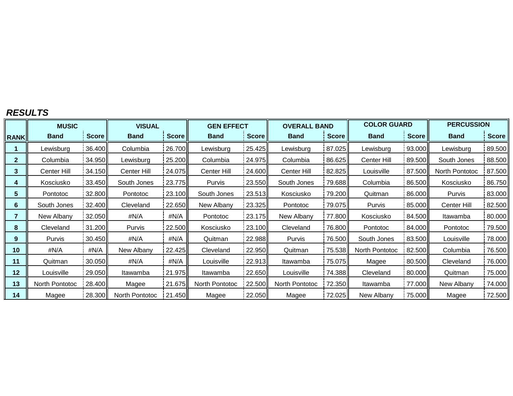#### *RESULTS*

|                | <b>MUSIC</b>   |              | <b>VISUAL</b>  |                 | <b>GEN EFFECT</b> |              | <b>OVERALL BAND</b> |              | <b>COLOR GUARD</b> |              | <b>PERCUSSION</b> |        |
|----------------|----------------|--------------|----------------|-----------------|-------------------|--------------|---------------------|--------------|--------------------|--------------|-------------------|--------|
| <b>RANK</b>    | <b>Band</b>    | <b>Score</b> | <b>Band</b>    | <b>Score</b>    | <b>Band</b>       | <b>Score</b> | <b>Band</b>         | <b>Score</b> | <b>Band</b>        | <b>Score</b> | <b>Band</b>       | Score  |
|                | Lewisburg      | 36.400       | Columbia       | 26.700          | Lewisburg         | 25.425       | Lewisburg           | 87.025       | Lewisburg          | 93.000       | Lewisburg         | 89.500 |
| $\mathbf{2}$   | Columbia       | 34.950       | Lewisburg      | 25.200          | Columbia          | 24.975       | Columbia            | 86.625       | Center Hill        | 89.500       | South Jones       | 88.500 |
| 3              | Center Hill    | 34.150       | Center Hill    | 24.075          | Center Hill       | 24.600       | Center Hill         | 82.825       | Louisville         | 87.500       | North Pontotoc    | 87.500 |
| 4              | Kosciusko      | 33.450       | South Jones    | 23.775          | Purvis            | 23.550       | South Jones         | 79.688       | Columbia           | 86.500       | Kosciusko         | 86.750 |
| 5.             | Pontotoc       | 32.800       | Pontotoc       | 23.100          | South Jones       | 23.513       | Kosciusko           | 79.200       | Quitman            | 86.000       | Purvis            | 83.000 |
| 6              | South Jones    | 32.400       | Cleveland      | 22.650          | New Albany        | 23.325       | Pontotoc            | 79.075       | Purvis             | 85.000II     | Center Hill       | 82.500 |
| $\overline{7}$ | New Albany     | 32.050       | #N/A           | #N/A            | Pontotoc          | 23.175       | New Albany          | 77.800       | Kosciusko          | 84.500       | Itawamba          | 80.000 |
| 8              | Cleveland      | 31.200       | Purvis         | 22.500          | Kosciusko         | 23.100       | Cleveland           | 76.800       | Pontotoc           | 84.000       | Pontotoc          | 79.500 |
| 9              | Purvis         | 30.450       | #N/A           | #N/A            | Quitman           | 22.988       | Purvis              | 76.500       | South Jones        | 83.500       | Louisville        | 78.000 |
| 10             | #N/A           | #N/A         | New Albany     | 22.425          | Cleveland         | 22.950       | Quitman             | 75.538       | North Pontotoc     | 82.500       | Columbia          | 76.500 |
| 11             | Quitman        | 30.050       | #N/A           | #N/A            | Louisville        | 22.913       | Itawamba            | 75.075       | Magee              | 80.500       | Cleveland         | 76.000 |
| 12             | Louisville     | 29.050       | Itawamba       | 21.975          | Itawamba          | 22.650       | Louisville          | 74.388       | Cleveland          | 80.000       | Quitman           | 75.000 |
| 13             | North Pontotoc | 28.400       | Magee          | 21.675          | North Pontotoc    | 22.500       | North Pontotoc      | 72.350       | Itawamba           | 77.000       | New Albany        | 74.000 |
| 14             | Magee          | 28.300       | North Pontotoc | 21.450 <b> </b> | Magee             | 22.050       | Magee               | 72.025       | New Albany         | 75.000       | Magee             | 72.500 |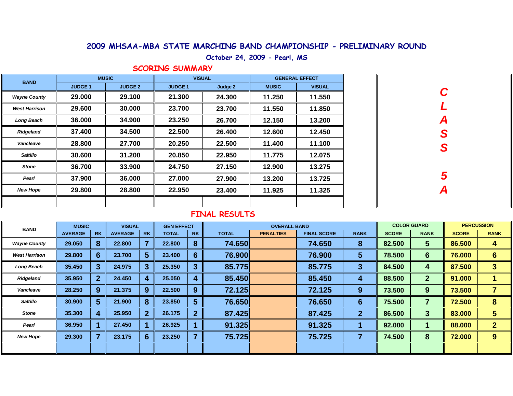#### **October 24, 2009 - Pearl, MS**

*C*

*L*

*A*

*S*

*S*

*5*

*A*

#### **SCORING SUMMARY**

| <b>BAND</b>          | <b>MUSIC</b>   |                | <b>VISUAL</b> |         | <b>GENERAL EFFECT</b> |               |  |  |
|----------------------|----------------|----------------|---------------|---------|-----------------------|---------------|--|--|
|                      | <b>JUDGE 1</b> | <b>JUDGE 2</b> | <b>JUDGE1</b> | Judge 2 | <b>MUSIC</b>          | <b>VISUAL</b> |  |  |
| <b>Wayne County</b>  | 29,000         | 29.100         | 21.300        | 24.300  | 11.250                | 11.550        |  |  |
| <b>West Harrison</b> | 29,600         | 30.000         | 23.700        | 23.700  | 11.550                | 11.850        |  |  |
| <b>Long Beach</b>    | 36,000         | 34.900         | 23.250        | 26.700  | 12.150                | 13.200        |  |  |
| <b>Ridgeland</b>     | 37.400         | 34.500         | 22.500        | 26.400  | 12.600                | 12.450        |  |  |
| <b>Vancleave</b>     | 28.800         | 27.700         | 20.250        | 22.500  | 11.400                | 11.100        |  |  |
| <b>Saltillo</b>      | 30,600         | 31.200         | 20,850        | 22.950  | 11.775                | 12.075        |  |  |
| <b>Stone</b>         | 36.700         | 33.900         | 24.750        | 27.150  | 12.900                | 13.275        |  |  |
| Pearl                | 37,900         | 36.000         | 27,000        | 27,900  | 13.200                | 13.725        |  |  |
| <b>New Hope</b>      | 29.800         | 28.800         | 22.950        | 23.400  | 11.925                | 11.325        |  |  |
|                      |                |                |               |         |                       |               |  |  |

| <b>BAND</b>          |                | <b>MUSIC</b>     |                | <b>VISUAL</b> |              | <b>GEN EFFECT</b>       | <b>OVERALL BAND</b> |                  |                    |                         | <b>COLOR GUARD</b> |                         | <b>PERCUSSION</b> |                 |
|----------------------|----------------|------------------|----------------|---------------|--------------|-------------------------|---------------------|------------------|--------------------|-------------------------|--------------------|-------------------------|-------------------|-----------------|
|                      | <b>AVERAGE</b> | <b>RK</b>        | <b>AVERAGE</b> | <b>RK</b>     | <b>TOTAL</b> | <b>RK</b>               | <b>TOTAL</b>        | <b>PENALTIES</b> | <b>FINAL SCORE</b> | <b>RANK</b>             | <b>SCORE</b>       | <b>RANK</b>             | <b>SCORE</b>      | <b>RANK</b>     |
| <b>Wayne County</b>  | 29.050         | 8                | 22.800         |               | 22.800       | 8                       | 74.650              |                  | 74.650             | 8                       | 82.500             | $\overline{\mathbf{5}}$ | 86.500            | 4               |
| <b>West Harrison</b> | 29.800         | $6 \overline{6}$ | 23.700         | 5             | 23.400       | 6                       | 76.900              |                  | 76.900             | $\overline{\mathbf{5}}$ | 78.500             | 6                       | 76.000            | $6\phantom{1}6$ |
| <b>Long Beach</b>    | 35.450         | 3 <sup>1</sup>   | 24.975         | 3             | 25.350       | $\mathbf{3}$            | 85.775              |                  | 85.775             | $\mathbf{3}$            | 84.500             | 4                       | 87.500            | $\overline{3}$  |
| Ridgeland            | 35.950         | 2 <sup>1</sup>   | 24.450         | 4             | 25.050       | 4                       | 85.450              |                  | 85.450             | 4                       | 88.500             | $\mathbf{2}$            | 91.000            |                 |
| Vancleave            | 28.250         | 9                | 21.375         | 9             | 22.500       | 9                       | 72.125              |                  | 72.125             | 9                       | 73.500             | 9                       | 73.500            | 7               |
| <b>Saltillo</b>      | 30.900         | 5 <sup>5</sup>   | 21.900         | 8             | 23.850       | $5\phantom{1}$          | 76.650              |                  | 76.650             | 6                       | 75.500             | 7                       | 72.500            | 8               |
| <b>Stone</b>         | 35.300         | 4                | 25.950         | $\mathbf{2}$  | 26.175       | $\overline{2}$          | 87.425              |                  | 87.425             | 2 <sup>1</sup>          | 86.500             | 3                       | 83.000            | 5               |
| Pearl                | 36.950         |                  | 27.450         |               | 26.925       |                         | 91.325              |                  | 91.325             |                         | 92.000             |                         | 88.000            | $\overline{2}$  |
| <b>New Hope</b>      | 29.300         |                  | 23.175         | 6             | 23.250       | $\overline{\mathbf{z}}$ | 75.725              |                  | 75.725             | 7                       | 74.500             | 8                       | 72.000            | 9               |
|                      |                |                  |                |               |              |                         |                     |                  |                    |                         |                    |                         |                   |                 |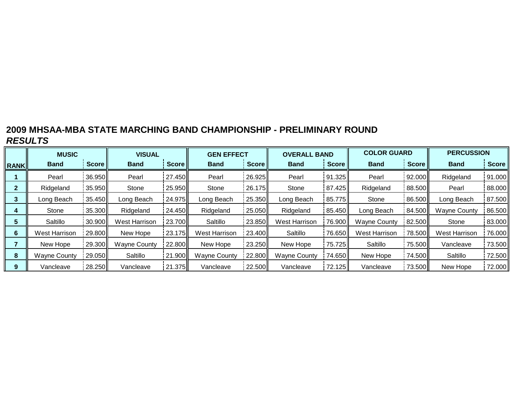|              | <b>MUSIC</b>        |              | <b>VISUAL</b>        |        | <b>GEN EFFECT</b>    |              | <b>OVERALL BAND</b>  |        | <b>COLOR GUARD</b>  |              | <b>PERCUSSION</b>   |        |
|--------------|---------------------|--------------|----------------------|--------|----------------------|--------------|----------------------|--------|---------------------|--------------|---------------------|--------|
| <b>RANK</b>  | <b>Band</b>         | <b>Score</b> | <b>Band</b>          | Score  | <b>Band</b>          | <b>Score</b> | <b>Band</b>          | Score  | <b>Band</b>         | <b>Score</b> | <b>Band</b>         | Score  |
|              | Pearl               | 36.950       | Pearl                | 27.450 | Pearl                | 26.925       | Pearl                | 91.325 | Pearl               | 92.000       | Ridgeland           | 91.000 |
| $\mathbf{2}$ | Ridgeland           | 35.950       | Stone                | 25.950 | Stone                | 26.175       | Stone                | 87.425 | Ridgeland           | 88.500       | Pearl               | 88.000 |
| 3            | Long Beach          | 35.450       | Long Beach           | 24.975 | Long Beach           | 25.350       | Long Beach           | 85.775 | Stone               | 86.500       | Long Beach          | 87.500 |
| 4            | Stone               | 35.300       | Ridgeland            | 24.450 | Ridgeland            | 25.050       | Ridgeland            | 85.450 | Long Beach          | 84.500       | <b>Wayne County</b> | 86.500 |
| 5            | Saltillo            | 30.900       | <b>West Harrison</b> | 23.700 | Saltillo             | 23.850       | <b>West Harrison</b> | 76.900 | <b>Wayne County</b> | 82.500       | Stone               | 83.000 |
| 6            | West Harrison       | 29.800       | New Hope             | 23.175 | <b>West Harrison</b> | 23.400       | Saltillo             | 76.650 | West Harrison       | 78.500       | West Harrison       | 76.000 |
|              | New Hope            | 29.300       | <b>Wayne County</b>  | 22.800 | New Hope             | 23.250       | New Hope             | 75.725 | Saltillo            | 75.500       | Vancleave           | 73.500 |
| 8            | <b>Wayne County</b> | 29.050       | Saltillo             | 21.900 | <b>Wayne County</b>  | 22.800       | <b>Wayne County</b>  | 74.650 | New Hope            | 74.500       | Saltillo            | 72.500 |
| 9            | Vancleave           | 28.250       | Vancleave            | 21.375 | Vancleave            | 22.500       | Vancleave            | 72.125 | Vancleave           | 73.500       | New Hope            | 72.000 |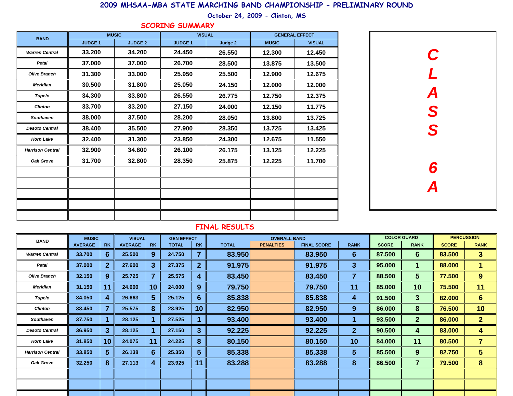| <b>BAND</b>             | <b>MUSIC</b>   |                | <b>VISUAL</b>  |         | <b>GENERAL EFFECT</b> |               |  |  |
|-------------------------|----------------|----------------|----------------|---------|-----------------------|---------------|--|--|
|                         | <b>JUDGE 1</b> | <b>JUDGE 2</b> | <b>JUDGE 1</b> | Judge 2 | <b>MUSIC</b>          | <b>VISUAL</b> |  |  |
| <b>Warren Central</b>   | 33.200         | 34.200         | 24.450         | 26.550  | 12.300                | 12.450        |  |  |
| <b>Petal</b>            | 37.000         | 37.000         | 26.700         | 28.500  | 13.875                | 13.500        |  |  |
| <b>Olive Branch</b>     | 31.300         | 33.000         | 25.950         | 25.500  | 12.900                | 12.675        |  |  |
| <b>Meridian</b>         | 30.500         | 31.800         | 25.050         | 24.150  | 12.000                | 12.000        |  |  |
| <b>Tupelo</b>           | 34.300         | 33.800         | 26.550         | 26.775  | 12.750                | 12.375        |  |  |
| <b>Clinton</b>          | 33.700         | 33.200         | 27.150         | 24.000  | 12.150                | 11.775        |  |  |
| <b>Southaven</b>        | 38.000         | 37.500         | 28.200         | 28.050  | 13.800                | 13.725        |  |  |
| <b>Desoto Central</b>   | 38.400         | 35.500         | 27.900         | 28.350  | 13.725                | 13.425        |  |  |
| <b>Horn Lake</b>        | 32.400         | 31.300         | 23.850         | 24.300  | 12.675                | 11.550        |  |  |
| <b>Harrison Central</b> | 32.900         | 34.800         | 26.100         | 26.175  | 13.125                | 12.225        |  |  |
| <b>Oak Grove</b>        | 31.700         | 32.800         | 28.350         | 25.875  | 12.225                | 11.700        |  |  |
|                         |                |                |                |         |                       |               |  |  |
|                         |                |                |                |         |                       |               |  |  |
|                         |                |                |                |         |                       |               |  |  |
|                         |                |                |                |         |                       |               |  |  |
|                         |                |                |                |         |                       |               |  |  |

| <b>BAND</b>             | <b>MUSIC</b>   |                 | <b>VISUAL</b>  |                | <b>GEN EFFECT</b> |                  |              | <b>OVERALL BAND</b> |                    |                  |              | <b>COLOR GUARD</b>      | <b>PERCUSSION</b> |                         |
|-------------------------|----------------|-----------------|----------------|----------------|-------------------|------------------|--------------|---------------------|--------------------|------------------|--------------|-------------------------|-------------------|-------------------------|
|                         | <b>AVERAGE</b> | <b>RK</b>       | <b>AVERAGE</b> | <b>RK</b>      | <b>TOTAL</b>      | <b>RK</b>        | <b>TOTAL</b> | <b>PENALTIES</b>    | <b>FINAL SCORE</b> | <b>RANK</b>      | <b>SCORE</b> | <b>RANK</b>             | <b>SCORE</b>      | <b>RANK</b>             |
| <b>Warren Central</b>   | 33.700         | 6               | 25.500         | 9              | 24.750            | 7                | 83.950       |                     | 83.950             | 6 <sup>°</sup>   | 87.500       | 6                       | 83.500            | 3 <sup>5</sup>          |
| <b>Petal</b>            | 37.000         | 2 <sup>1</sup>  | 27.600         | $\overline{3}$ | 27.375            | $\overline{2}$   | 91.975       |                     | 91.975             | $3\phantom{a}$   | 95.000       | 1                       | 88.000            | 1                       |
| <b>Olive Branch</b>     | 32.150         | 9               | 25.725         | 7              | 25.575            | 4                | 83.450       |                     | 83.450             | $\overline{7}$   | 88.500       | 5 <sup>5</sup>          | 77.500            | 9 <sup>°</sup>          |
| <b>Meridian</b>         | 31.150         | 11              | 24.600         | 10             | 24.000            | 9                | 79.750       |                     | 79.750             | 11               | 85.000       | 10                      | 75.500            | 11                      |
| <b>Tupelo</b>           | 34.050         | 4               | 26.663         | $5\phantom{1}$ | 25.125            | $6 \overline{6}$ | 85.838       |                     | 85.838             | 4                | 91.500       | 3                       | 82.000            | 6                       |
| <b>Clinton</b>          | 33.450         | $\overline{7}$  | 25.575         | 8              | 23.925            | 10 <sup>°</sup>  | 82.950       |                     | 82.950             | $\boldsymbol{9}$ | 86.000       | 8                       | 76.500            | 10                      |
| <b>Southaven</b>        | 37.750         |                 | 28.125         |                | 27.525            |                  | 93.400       |                     | 93.400             | 1                | 93.500       | 2 <sup>2</sup>          | 86.000            | 2 <sup>1</sup>          |
| <b>Desoto Central</b>   | 36.950         | $\overline{3}$  | 28.125         |                | 27.150            | $\mathbf{3}$     | 92.225       |                     | 92.225             | 2 <sup>1</sup>   | 90.500       | 4                       | 83.000            | 4                       |
| <b>Horn Lake</b>        | 31.850         | 10 <sup>°</sup> | 24.075         | 11             | 24.225            | 8                | 80.150       |                     | 80.150             | 10               | 84.000       | 11                      | 80.500            | $\overline{\mathbf{7}}$ |
| <b>Harrison Central</b> | 33.850         | $5\phantom{1}$  | 26.138         | 6              | 25.350            | $5\overline{)}$  | 85.338       |                     | 85.338             | 5 <sup>5</sup>   | 85.500       | 9 <sup>°</sup>          | 82.750            | 5 <sup>5</sup>          |
| <b>Oak Grove</b>        | 32.250         | 8               | 27.113         | 4              | 23.925            | 11               | 83.288       |                     | 83.288             | 8                | 86.500       | $\overline{\mathbf{7}}$ | 79.500            | 8                       |
|                         |                |                 |                |                |                   |                  |              |                     |                    |                  |              |                         |                   |                         |
|                         |                |                 |                |                |                   |                  |              |                     |                    |                  |              |                         |                   |                         |
|                         |                |                 |                |                |                   |                  |              |                     |                    |                  |              |                         |                   |                         |

## **SCORING SUMMARY**



## **2009 MHSAA-MBA STATE MARCHING BAND CHAMPIONSHIP - PRELIMINARY ROUND**

**October 24, 2009 - Clinton, MS**